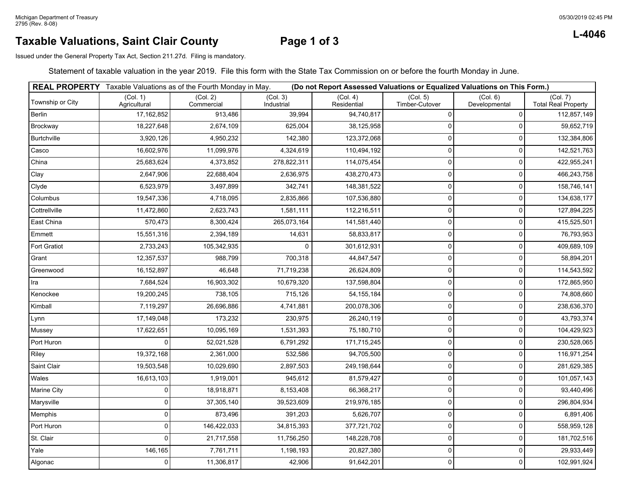### **Taxable Valuations, Saint Clair County Page 1 of 3**

**L-4046**

Issued under the General Property Tax Act, Section 211.27d. Filing is mandatory.

Statement of taxable valuation in the year 2019. File this form with the State Tax Commission on or before the fourth Monday in June.

|                  |                          | <b>REAL PROPERTY</b> Taxable Valuations as of the Fourth Monday in May. |                        |                         |                            | (Do not Report Assessed Valuations or Equalized Valuations on This Form.) |                                        |
|------------------|--------------------------|-------------------------------------------------------------------------|------------------------|-------------------------|----------------------------|---------------------------------------------------------------------------|----------------------------------------|
| Township or City | (Col. 1)<br>Agricultural | (Col. 2)<br>Commercial                                                  | (Col. 3)<br>Industrial | (Col. 4)<br>Residential | (Col. 5)<br>Timber-Cutover | (Col. 6)<br>Developmental                                                 | (Col. 7)<br><b>Total Real Property</b> |
| Berlin           | 17, 162, 852             | 913,486                                                                 | 39,994                 | 94,740,817              | 0                          | $\Omega$                                                                  | 112,857,149                            |
| Brockway         | 18,227,648               | 2,674,109                                                               | 625,004                | 38,125,958              | 0                          | $\Omega$                                                                  | 59,652,719                             |
| Burtchville      | 3,920,126                | 4,950,232                                                               | 142,380                | 123,372,068             | $\Omega$                   | $\Omega$                                                                  | 132,384,806                            |
| Casco            | 16,602,976               | 11,099,976                                                              | 4,324,619              | 110,494,192             | 0                          | $\Omega$                                                                  | 142,521,763                            |
| China            | 25,683,624               | 4,373,852                                                               | 278,822,311            | 114,075,454             | $\mathbf 0$                | $\Omega$                                                                  | 422,955,241                            |
| Clay             | 2,647,906                | 22,688,404                                                              | 2,636,975              | 438,270,473             | 0                          |                                                                           | 466,243,758                            |
| Clyde            | 6,523,979                | 3,497,899                                                               | 342,741                | 148,381,522             | 0                          | $\Omega$                                                                  | 158,746,141                            |
| Columbus         | 19,547,336               | 4,718,095                                                               | 2,835,866              | 107,536,880             | 0                          |                                                                           | 134,638,177                            |
| Cottrellville    | 11,472,860               | 2,623,743                                                               | 1,581,111              | 112,216,511             | 0                          |                                                                           | 127,894,225                            |
| East China       | 570,473                  | 8,300,424                                                               | 265,073,164            | 141,581,440             | 0                          | 0                                                                         | 415,525,501                            |
| Emmett           | 15,551,316               | 2,394,189                                                               | 14,631                 | 58,833,817              | 0                          | $\Omega$                                                                  | 76,793,953                             |
| Fort Gratiot     | 2,733,243                | 105,342,935                                                             | $\Omega$               | 301,612,931             | 0                          | $\Omega$                                                                  | 409,689,109                            |
| Grant            | 12,357,537               | 988,799                                                                 | 700,318                | 44,847,547              | 0                          |                                                                           | 58,894,201                             |
| Greenwood        | 16,152,897               | 46,648                                                                  | 71,719,238             | 26,624,809              | 0                          | $\Omega$                                                                  | 114,543,592                            |
| Ira              | 7,684,524                | 16,903,302                                                              | 10,679,320             | 137,598,804             | 0                          | $\Omega$                                                                  | 172,865,950                            |
| Kenockee         | 19,200,245               | 738,105                                                                 | 715,126                | 54, 155, 184            | $\mathbf 0$                | $\Omega$                                                                  | 74,808,660                             |
| Kimball          | 7,119,297                | 26,696,886                                                              | 4,741,881              | 200,078,306             | 0                          | $\Omega$                                                                  | 238,636,370                            |
| Lynn             | 17,149,048               | 173,232                                                                 | 230,975                | 26,240,119              | 0                          |                                                                           | 43,793,374                             |
| Mussey           | 17,622,651               | 10,095,169                                                              | 1,531,393              | 75,180,710              | 0                          |                                                                           | 104,429,923                            |
| Port Huron       | $\Omega$                 | 52,021,528                                                              | 6,791,292              | 171,715,245             | 0                          | 0                                                                         | 230,528,065                            |
| Riley            | 19,372,168               | 2,361,000                                                               | 532,586                | 94,705,500              | 0                          |                                                                           | 116,971,254                            |
| Saint Clair      | 19,503,548               | 10,029,690                                                              | 2,897,503              | 249,198,644             | 0                          |                                                                           | 281,629,385                            |
| Wales            | 16,613,103               | 1,919,001                                                               | 945,612                | 81,579,427              | 0                          | $\Omega$                                                                  | 101,057,143                            |
| Marine City      | $\Omega$                 | 18,918,871                                                              | 8,153,408              | 66,368,217              | 0                          | $\Omega$                                                                  | 93,440,496                             |
| Marysville       | $\Omega$                 | 37,305,140                                                              | 39,523,609             | 219,976,185             | 0                          | $\Omega$                                                                  | 296,804,934                            |
| Memphis          | 0                        | 873,496                                                                 | 391,203                | 5,626,707               | 0                          |                                                                           | 6,891,406                              |
| Port Huron       | $\Omega$                 | 146,422,033                                                             | 34,815,393             | 377,721,702             | 0                          | <sup>0</sup>                                                              | 558,959,128                            |
| St. Clair        | $\Omega$                 | 21,717,558                                                              | 11,756,250             | 148,228,708             | 0                          | $\Omega$                                                                  | 181,702,516                            |
| Yale             | 146,165                  | 7,761,711                                                               | 1,198,193              | 20,827,380              | 0                          | $\mathbf{0}$                                                              | 29,933,449                             |
| Algonac          | $\mathbf 0$              | 11,306,817                                                              | 42,906                 | 91,642,201              | 0                          | $\Omega$                                                                  | 102,991,924                            |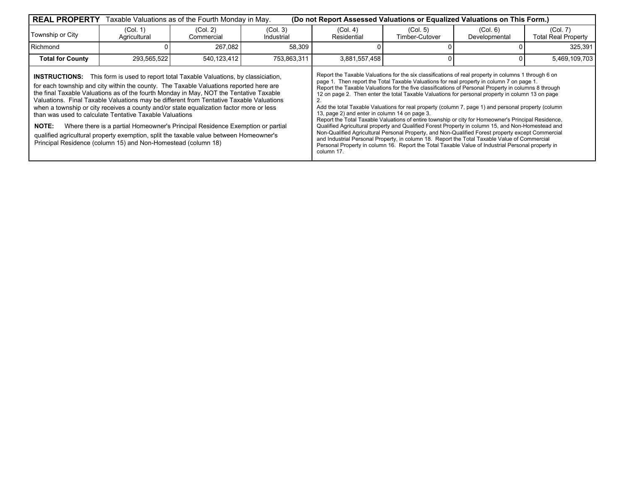| <b>REAL PROPERTY</b>    |                                                                                                                                                                                                                                                                                                                                                                                                                                                                                                                                                                                                                                                                                                                                                                               | Taxable Valuations as of the Fourth Monday in May. |                        | (Do not Report Assessed Valuations or Equalized Valuations on This Form.) |                                                                                                                                                                                                                                                                                                                                                                                                                                                                                                                                                                                                                                                                                                                                                                                                                                                                                                                                                                                                                                                                                             |                           |                                        |
|-------------------------|-------------------------------------------------------------------------------------------------------------------------------------------------------------------------------------------------------------------------------------------------------------------------------------------------------------------------------------------------------------------------------------------------------------------------------------------------------------------------------------------------------------------------------------------------------------------------------------------------------------------------------------------------------------------------------------------------------------------------------------------------------------------------------|----------------------------------------------------|------------------------|---------------------------------------------------------------------------|---------------------------------------------------------------------------------------------------------------------------------------------------------------------------------------------------------------------------------------------------------------------------------------------------------------------------------------------------------------------------------------------------------------------------------------------------------------------------------------------------------------------------------------------------------------------------------------------------------------------------------------------------------------------------------------------------------------------------------------------------------------------------------------------------------------------------------------------------------------------------------------------------------------------------------------------------------------------------------------------------------------------------------------------------------------------------------------------|---------------------------|----------------------------------------|
| Township or City        | (Col. 1)<br>Agricultural                                                                                                                                                                                                                                                                                                                                                                                                                                                                                                                                                                                                                                                                                                                                                      | (Col. 2)<br>Commercial                             | (Col. 3)<br>Industrial | (Col. 4)<br>Residential                                                   | (Col. 5)<br>Timber-Cutover                                                                                                                                                                                                                                                                                                                                                                                                                                                                                                                                                                                                                                                                                                                                                                                                                                                                                                                                                                                                                                                                  | (Col. 6)<br>Developmental | (Col. 7)<br><b>Total Real Property</b> |
| Richmond                |                                                                                                                                                                                                                                                                                                                                                                                                                                                                                                                                                                                                                                                                                                                                                                               | 267,082                                            | 58,309                 |                                                                           |                                                                                                                                                                                                                                                                                                                                                                                                                                                                                                                                                                                                                                                                                                                                                                                                                                                                                                                                                                                                                                                                                             |                           | 325,391                                |
| <b>Total for County</b> | 293,565,522                                                                                                                                                                                                                                                                                                                                                                                                                                                                                                                                                                                                                                                                                                                                                                   | 540,123,412                                        | 753,863,311            | 3,881,557,458                                                             |                                                                                                                                                                                                                                                                                                                                                                                                                                                                                                                                                                                                                                                                                                                                                                                                                                                                                                                                                                                                                                                                                             |                           | 5,469,109,703                          |
| <b>NOTE:</b>            | <b>INSTRUCTIONS:</b> This form is used to report total Taxable Valuations, by classiciation,<br>for each township and city within the county. The Taxable Valuations reported here are<br>the final Taxable Valuations as of the fourth Monday in May, NOT the Tentative Taxable<br>Valuations. Final Taxable Valuations may be different from Tentative Taxable Valuations<br>when a township or city receives a county and/or state equalization factor more or less<br>than was used to calculate Tentative Taxable Valuations<br>Where there is a partial Homeowner's Principal Residence Exemption or partial<br>qualified agricultural property exemption, split the taxable value between Homeowner's<br>Principal Residence (column 15) and Non-Homestead (column 18) |                                                    |                        |                                                                           | Report the Taxable Valuations for the six classifications of real property in columns 1 through 6 on<br>page 1. Then report the Total Taxable Valuations for real property in column 7 on page 1.<br>Report the Taxable Valuations for the five classifications of Personal Property in columns 8 through<br>12 on page 2. Then enter the total Taxable Valuations for personal property in column 13 on page<br>Add the total Taxable Valuations for real property (column 7, page 1) and personal property (column<br>13, page 2) and enter in column 14 on page 3.<br>Report the Total Taxable Valuations of entire township or city for Homeowner's Principal Residence,<br>Qualified Agricultural property and Qualified Forest Property in column 15, and Non-Homestead and<br>Non-Qualified Agricultural Personal Property, and Non-Qualified Forest property except Commercial<br>and Industrial Personal Property, in column 18. Report the Total Taxable Value of Commercial<br>Personal Property in column 16. Report the Total Taxable Value of Industrial Personal property in |                           |                                        |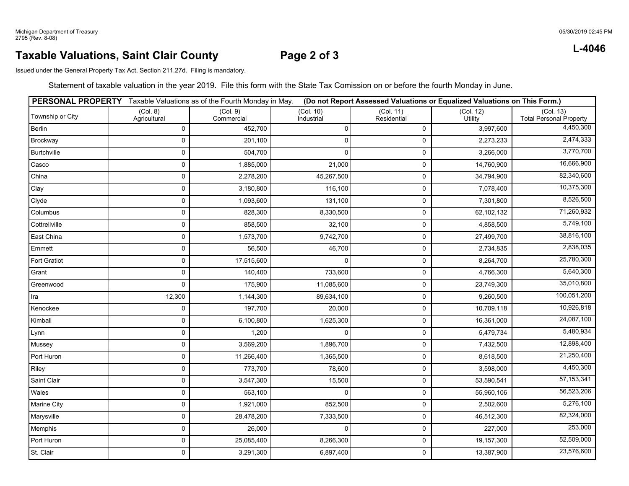### 05/30/2019 02:45 PM

### **Taxable Valuations, Saint Clair County**

## **Page 2 of 3**

Issued under the General Property Tax Act, Section 211.27d. Filing is mandatory.

Statement of taxable valuation in the year 2019. File this form with the State Tax Comission on or before the fourth Monday in June.

|                     |                          | PERSONAL PROPERTY Taxable Valuations as of the Fourth Monday in May. |                         |                          | (Do not Report Assessed Valuations or Equalized Valuations on This Form.) |                                             |
|---------------------|--------------------------|----------------------------------------------------------------------|-------------------------|--------------------------|---------------------------------------------------------------------------|---------------------------------------------|
| Township or City    | (Col. 8)<br>Agricultural | (Col. 9)<br>Commercial                                               | (Col. 10)<br>Industrial | (Col. 11)<br>Residential | (Col. 12)<br>Utility                                                      | (Col. 13)<br><b>Total Personal Property</b> |
| Berlin              | $\mathbf 0$              | 452,700                                                              | 0                       | $\mathbf 0$              | 3,997,600                                                                 | 4,450,300                                   |
| Brockway            | 0                        | 201,100                                                              | 0                       | 0                        | 2,273,233                                                                 | 2,474,333                                   |
| Burtchville         | 0                        | 504,700                                                              | $\Omega$                | 0                        | 3,266,000                                                                 | 3,770,700                                   |
| Casco               | 0                        | 1,885,000                                                            | 21,000                  | $\pmb{0}$                | 14,760,900                                                                | 16,666,900                                  |
| China               | 0                        | 2,278,200                                                            | 45,267,500              | 0                        | 34,794,900                                                                | 82,340,600                                  |
| Clay                | 0                        | 3,180,800                                                            | 116,100                 | 0                        | 7,078,400                                                                 | 10,375,300                                  |
| Clyde               | 0                        | 1,093,600                                                            | 131,100                 | 0                        | 7,301,800                                                                 | 8,526,500                                   |
| Columbus            | 0                        | 828,300                                                              | 8,330,500               | $\mathsf{O}\xspace$      | 62,102,132                                                                | 71,260,932                                  |
| Cottrellville       | $\pmb{0}$                | 858,500                                                              | 32,100                  | 0                        | 4,858,500                                                                 | 5,749,100                                   |
| East China          | 0                        | 1,573,700                                                            | 9,742,700               | $\pmb{0}$                | 27,499,700                                                                | 38,816,100                                  |
| Emmett              | 0                        | 56,500                                                               | 46,700                  | $\pmb{0}$                | 2,734,835                                                                 | 2,838,035                                   |
| <b>Fort Gratiot</b> | 0                        | 17,515,600                                                           | 0                       | 0                        | 8,264,700                                                                 | 25,780,300                                  |
| Grant               | 0                        | 140,400                                                              | 733,600                 | $\pmb{0}$                | 4,766,300                                                                 | 5,640,300                                   |
| Greenwood           | 0                        | 175,900                                                              | 11,085,600              | 0                        | 23,749,300                                                                | 35,010,800                                  |
| Ira                 | 12,300                   | 1,144,300                                                            | 89,634,100              | $\pmb{0}$                | 9,260,500                                                                 | 100,051,200                                 |
| Kenockee            | $\mathsf 0$              | 197,700                                                              | 20,000                  | $\pmb{0}$                | 10,709,118                                                                | 10,926,818                                  |
| Kimball             | 0                        | 6,100,800                                                            | 1,625,300               | $\pmb{0}$                | 16,361,000                                                                | 24,087,100                                  |
| Lynn                | 0                        | 1,200                                                                | $\Omega$                | $\pmb{0}$                | 5,479,734                                                                 | 5,480,934                                   |
| Mussey              | 0                        | 3,569,200                                                            | 1,896,700               | $\pmb{0}$                | 7,432,500                                                                 | 12,898,400                                  |
| Port Huron          | 0                        | 11,266,400                                                           | 1,365,500               | 0                        | 8,618,500                                                                 | 21,250,400                                  |
| Riley               | 0                        | 773,700                                                              | 78,600                  | 0                        | 3,598,000                                                                 | 4,450,300                                   |
| Saint Clair         | 0                        | 3,547,300                                                            | 15,500                  | 0                        | 53,590,541                                                                | 57, 153, 341                                |
| Wales               | 0                        | 563,100                                                              | 0                       | $\mathbf 0$              | 55,960,106                                                                | 56,523,206                                  |
| Marine City         | $\mathsf 0$              | 1,921,000                                                            | 852,500                 | 0                        | 2,502,600                                                                 | 5,276,100                                   |
| Marysville          | 0                        | 28,478,200                                                           | 7,333,500               | 0                        | 46,512,300                                                                | 82,324,000                                  |
| Memphis             | $\mathsf 0$              | 26,000                                                               | 0                       | 0                        | 227,000                                                                   | 253,000                                     |
| Port Huron          | $\pmb{0}$                | 25,085,400                                                           | 8,266,300               | 0                        | 19,157,300                                                                | 52,509,000                                  |
| St. Clair           | 0                        | 3,291,300                                                            | 6,897,400               | 0                        | 13,387,900                                                                | 23,576,600                                  |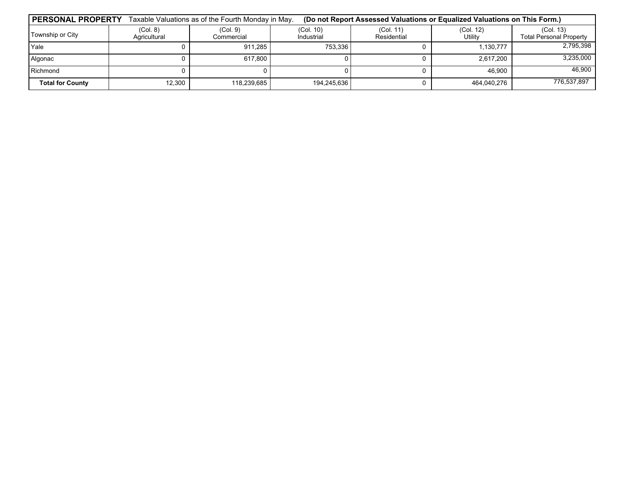| <b>PERSONAL PROPERTY</b> |                          | Taxable Valuations as of the Fourth Monday in May.<br>(Do not Report Assessed Valuations or Equalized Valuations on This Form.) |                         |                          |                      |                                             |  |
|--------------------------|--------------------------|---------------------------------------------------------------------------------------------------------------------------------|-------------------------|--------------------------|----------------------|---------------------------------------------|--|
| Township or City         | (Col. 8)<br>Agricultural | (Col. 9)<br>Commercial                                                                                                          | (Col. 10)<br>Industrial | (Col. 11)<br>Residential | (Col. 12)<br>Utility | (Col. 13)<br><b>Total Personal Property</b> |  |
| Yale                     |                          | 911.285                                                                                                                         | 753.336                 |                          | 1,130,777            | 2,795,398                                   |  |
| Algonac                  |                          | 617.800                                                                                                                         |                         |                          | 2.617.200            | 3,235,000                                   |  |
| Richmond                 |                          |                                                                                                                                 |                         |                          | 46.900               | 46,900                                      |  |
| <b>Total for County</b>  | 12,300                   | 118.239.685                                                                                                                     | 194,245,636             |                          | 464.040.276          | 776.537.897                                 |  |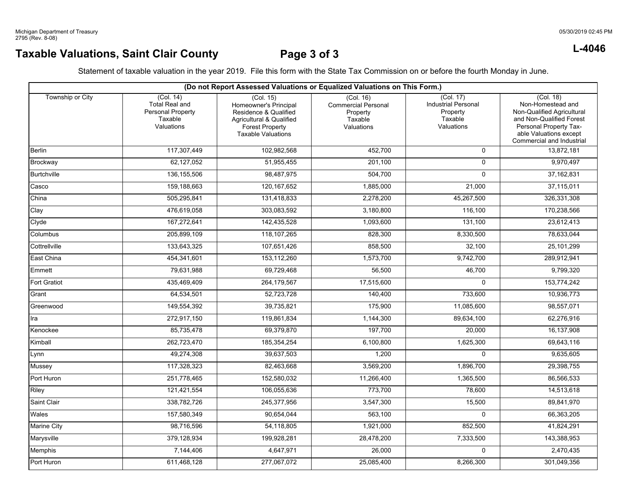# **Taxable Valuations, Saint Clair County Page 3 of 3 L-4046**

| (Do not Report Assessed Valuations or Equalized Valuations on This Form.) |                                                                                  |                                                                                                                                                |                                                                              |                                                                              |                                                                                                                                                                           |  |  |
|---------------------------------------------------------------------------|----------------------------------------------------------------------------------|------------------------------------------------------------------------------------------------------------------------------------------------|------------------------------------------------------------------------------|------------------------------------------------------------------------------|---------------------------------------------------------------------------------------------------------------------------------------------------------------------------|--|--|
| Township or City                                                          | (Col. 14)<br><b>Total Real and</b><br>Personal Property<br>Taxable<br>Valuations | (Col. 15)<br>Homeowner's Principal<br>Residence & Qualified<br>Agricultural & Qualified<br><b>Forest Property</b><br><b>Taxable Valuations</b> | (Col. 16)<br><b>Commercial Personal</b><br>Property<br>Taxable<br>Valuations | (Col. 17)<br><b>Industrial Personal</b><br>Property<br>Taxable<br>Valuations | (Col. 18)<br>Non-Homestead and<br>Non-Qualified Agricultural<br>and Non-Qualified Forest<br>Personal Property Tax-<br>able Valuations except<br>Commercial and Industrial |  |  |
| Berlin                                                                    | 117,307,449                                                                      | 102,982,568                                                                                                                                    | 452,700                                                                      | $\mathbf 0$                                                                  | 13,872,181                                                                                                                                                                |  |  |
| Brockway                                                                  | 62,127,052                                                                       | 51,955,455                                                                                                                                     | 201,100                                                                      | $\Omega$                                                                     | 9,970,497                                                                                                                                                                 |  |  |
| <b>Burtchville</b>                                                        | 136, 155, 506                                                                    | 98,487,975                                                                                                                                     | 504,700                                                                      | $\Omega$                                                                     | 37, 162, 831                                                                                                                                                              |  |  |
| Casco                                                                     | 159,188,663                                                                      | 120, 167, 652                                                                                                                                  | 1,885,000                                                                    | 21,000                                                                       | 37,115,011                                                                                                                                                                |  |  |
| China                                                                     | 505,295,841                                                                      | 131,418,833                                                                                                                                    | 2,278,200                                                                    | 45,267,500                                                                   | 326,331,308                                                                                                                                                               |  |  |
| Clay                                                                      | 476,619,058                                                                      | 303,083,592                                                                                                                                    | 3,180,800                                                                    | 116.100                                                                      | 170,238,566                                                                                                                                                               |  |  |
| Clyde                                                                     | 167,272,641                                                                      | 142,435,528                                                                                                                                    | 1,093,600                                                                    | 131,100                                                                      | 23,612,413                                                                                                                                                                |  |  |
| Columbus                                                                  | 205,899,109                                                                      | 118,107,265                                                                                                                                    | 828,300                                                                      | 8,330,500                                                                    | 78,633,044                                                                                                                                                                |  |  |
| Cottrellville                                                             | 133,643,325                                                                      | 107,651,426                                                                                                                                    | 858,500                                                                      | 32,100                                                                       | 25,101,299                                                                                                                                                                |  |  |
| East China                                                                | 454,341,601                                                                      | 153,112,260                                                                                                                                    | 1,573,700                                                                    | 9,742,700                                                                    | 289,912,941                                                                                                                                                               |  |  |
| Emmett                                                                    | 79,631,988                                                                       | 69,729,468                                                                                                                                     | 56,500                                                                       | 46,700                                                                       | 9,799,320                                                                                                                                                                 |  |  |
| Fort Gratiot                                                              | 435,469,409                                                                      | 264,179,567                                                                                                                                    | 17,515,600                                                                   | $\mathbf 0$                                                                  | 153,774,242                                                                                                                                                               |  |  |
| Grant                                                                     | 64,534,501                                                                       | 52,723,728                                                                                                                                     | 140,400                                                                      | 733,600                                                                      | 10,936,773                                                                                                                                                                |  |  |
| Greenwood                                                                 | 149,554,392                                                                      | 39,735,821                                                                                                                                     | 175,900                                                                      | 11,085,600                                                                   | 98,557,071                                                                                                                                                                |  |  |
| Ira                                                                       | 272,917,150                                                                      | 119,861,834                                                                                                                                    | 1,144,300                                                                    | 89,634,100                                                                   | 62,276,916                                                                                                                                                                |  |  |
| Kenockee                                                                  | 85,735,478                                                                       | 69,379,870                                                                                                                                     | 197,700                                                                      | 20,000                                                                       | 16,137,908                                                                                                                                                                |  |  |
| Kimball                                                                   | 262,723,470                                                                      | 185,354,254                                                                                                                                    | 6,100,800                                                                    | 1,625,300                                                                    | 69,643,116                                                                                                                                                                |  |  |
| Lynn                                                                      | 49,274,308                                                                       | 39,637,503                                                                                                                                     | 1,200                                                                        | $\mathbf 0$                                                                  | 9,635,605                                                                                                                                                                 |  |  |
| Mussey                                                                    | 117,328,323                                                                      | 82,463,668                                                                                                                                     | 3,569,200                                                                    | 1,896,700                                                                    | 29,398,755                                                                                                                                                                |  |  |
| Port Huron                                                                | 251,778,465                                                                      | 152,580,032                                                                                                                                    | 11,266,400                                                                   | 1,365,500                                                                    | 86,566,533                                                                                                                                                                |  |  |
| Riley                                                                     | 121,421,554                                                                      | 106,055,636                                                                                                                                    | 773,700                                                                      | 78,600                                                                       | 14,513,618                                                                                                                                                                |  |  |
| Saint Clair                                                               | 338,782,726                                                                      | 245,377,956                                                                                                                                    | 3,547,300                                                                    | 15,500                                                                       | 89,841,970                                                                                                                                                                |  |  |
| Wales                                                                     | 157,580,349                                                                      | 90,654,044                                                                                                                                     | 563,100                                                                      | $\mathbf 0$                                                                  | 66,363,205                                                                                                                                                                |  |  |
| Marine City                                                               | 98,716,596                                                                       | 54,118,805                                                                                                                                     | 1,921,000                                                                    | 852,500                                                                      | 41,824,291                                                                                                                                                                |  |  |
| Marysville                                                                | 379,128,934                                                                      | 199,928,281                                                                                                                                    | 28,478,200                                                                   | 7,333,500                                                                    | 143,388,953                                                                                                                                                               |  |  |
| Memphis                                                                   | 7,144,406                                                                        | 4,647,971                                                                                                                                      | 26,000                                                                       | $\mathbf 0$                                                                  | 2,470,435                                                                                                                                                                 |  |  |
| Port Huron                                                                | 611,468,128                                                                      | 277,067,072                                                                                                                                    | 25,085,400                                                                   | 8,266,300                                                                    | 301,049,356                                                                                                                                                               |  |  |